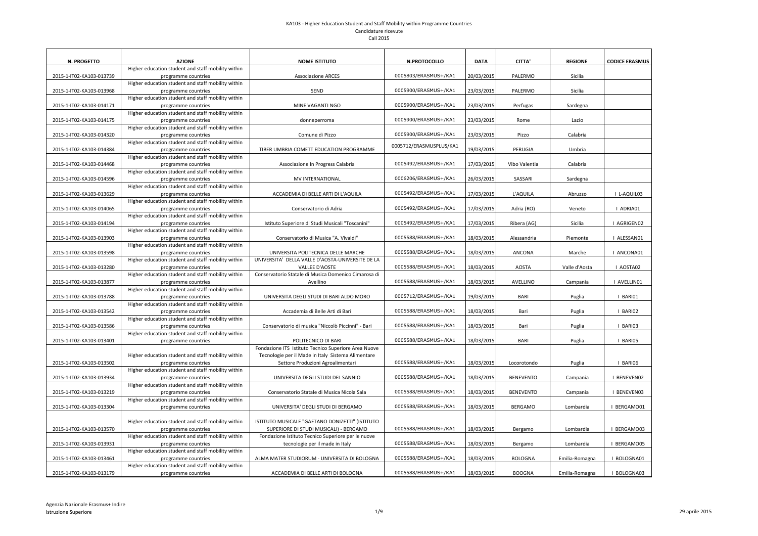| <b>N. PROGETTO</b>       | <b>AZIONE</b>                                                             | <b>NOME ISTITUTO</b>                                 | N.PROTOCOLLO            | <b>DATA</b> | <b>CITTA'</b>    | <b>REGIONE</b> | <b>CODICE ERASMUS</b> |
|--------------------------|---------------------------------------------------------------------------|------------------------------------------------------|-------------------------|-------------|------------------|----------------|-----------------------|
|                          | Higher education student and staff mobility within                        |                                                      |                         |             |                  |                |                       |
| 2015-1-IT02-KA103-013739 | programme countries                                                       | <b>Associazione ARCES</b>                            | 0005803/ERASMUS+/KA1    | 20/03/2015  | PALERMO          | Sicilia        |                       |
|                          | Higher education student and staff mobility within                        |                                                      |                         |             |                  |                |                       |
| 2015-1-IT02-KA103-013968 | programme countries                                                       | SEND                                                 | 0005900/ERASMUS+/KA1    | 23/03/2015  | PALERMO          | Sicilia        |                       |
|                          | Higher education student and staff mobility within                        |                                                      |                         |             |                  |                |                       |
| 2015-1-IT02-KA103-014171 | programme countries                                                       | MINE VAGANTI NGO                                     | 0005900/ERASMUS+/KA1    | 23/03/2015  | Perfugas         | Sardegna       |                       |
|                          | Higher education student and staff mobility within                        |                                                      |                         |             |                  |                |                       |
| 2015-1-IT02-KA103-014175 | programme countries                                                       | donneperroma                                         | 0005900/ERASMUS+/KA1    | 23/03/2015  | Rome             | Lazio          |                       |
|                          | Higher education student and staff mobility within                        |                                                      |                         |             |                  |                |                       |
| 2015-1-IT02-KA103-014320 | programme countries                                                       | Comune di Pizzo                                      | 0005900/ERASMUS+/KA1    | 23/03/2015  | Pizzo            | Calabria       |                       |
|                          | Higher education student and staff mobility within                        |                                                      | 0005712/ERASMUSPLUS/KA1 |             |                  |                |                       |
| 2015-1-IT02-KA103-014384 | programme countries                                                       | TIBER UMBRIA COMETT EDUCATION PROGRAMME              |                         | 19/03/2015  | PERUGIA          | Umbria         |                       |
|                          | Higher education student and staff mobility within                        |                                                      |                         |             |                  |                |                       |
| 2015-1-IT02-KA103-014468 | programme countries                                                       | Associazione In Progress Calabria                    | 0005492/ERASMUS+/KA1    | 17/03/2015  | Vibo Valentia    | Calabria       |                       |
|                          | Higher education student and staff mobility within                        |                                                      |                         |             |                  |                |                       |
| 2015-1-IT02-KA103-014596 | programme countries                                                       | <b>MV INTERNATIONAL</b>                              | 0006206/ERASMUS+/KA1    | 26/03/2015  | SASSARI          | Sardegna       |                       |
|                          | Higher education student and staff mobility within                        |                                                      |                         |             |                  |                |                       |
| 2015-1-IT02-KA103-013629 | programme countries                                                       | ACCADEMIA DI BELLE ARTI DI L'AQUILA                  | 0005492/ERASMUS+/KA1    | 17/03/2015  | L'AQUILA         | Abruzzo        | L-AQUIL03             |
|                          | Higher education student and staff mobility within                        |                                                      |                         |             |                  |                |                       |
| 2015-1-IT02-KA103-014065 | programme countries                                                       | Conservatorio di Adria                               | 0005492/ERASMUS+/KA1    | 17/03/2015  | Adria (RO)       | Veneto         | <b>ADRIA01</b>        |
|                          | Higher education student and staff mobility within                        |                                                      |                         |             |                  |                |                       |
| 2015-1-IT02-KA103-014194 | programme countries                                                       | Istituto Superiore di Studi Musicali "Toscanini"     | 0005492/ERASMUS+/KA1    | 17/03/2015  | Ribera (AG)      | Sicilia        | I AGRIGEN02           |
| 2015-1-IT02-KA103-013903 | Higher education student and staff mobility within                        | Conservatorio di Musica "A. Vivaldi"                 | 0005588/ERASMUS+/KA1    | 18/03/2015  | Alessandria      | Piemonte       | I ALESSAN01           |
|                          | programme countries<br>Higher education student and staff mobility within |                                                      |                         |             |                  |                |                       |
| 2015-1-IT02-KA103-013598 | programme countries                                                       | UNIVERSITA POLITECNICA DELLE MARCHE                  | 0005588/ERASMUS+/KA1    | 18/03/2015  | ANCONA           | Marche         | I ANCONA01            |
|                          | Higher education student and staff mobility within                        | UNIVERSITA' DELLA VALLE D'AOSTA-UNIVERSITE DE LA     |                         |             |                  |                |                       |
| 2015-1-IT02-KA103-013280 | programme countries                                                       | <b>VALLEE D'AOSTE</b>                                | 0005588/ERASMUS+/KA1    | 18/03/2015  | <b>AOSTA</b>     | Valle d'Aosta  | I AOSTA02             |
|                          | Higher education student and staff mobility within                        | Conservatorio Statale di Musica Domenico Cimarosa di |                         |             |                  |                |                       |
| 2015-1-IT02-KA103-013877 | programme countries                                                       | Avellino                                             | 0005588/ERASMUS+/KA1    | 18/03/2015  | <b>AVELLINO</b>  | Campania       | AVELLIN01             |
|                          | Higher education student and staff mobility within                        |                                                      |                         |             |                  |                |                       |
| 2015-1-IT02-KA103-013788 | programme countries                                                       | UNIVERSITA DEGLI STUDI DI BARI ALDO MORO             | 0005712/ERASMUS+/KA1    | 19/03/2015  | <b>BARI</b>      | Puglia         | I BARIO1              |
|                          | Higher education student and staff mobility within                        |                                                      |                         |             |                  |                |                       |
| 2015-1-IT02-KA103-013542 | programme countries                                                       | Accademia di Belle Arti di Bari                      | 0005588/ERASMUS+/KA1    | 18/03/2015  | Bari             | Puglia         | I BARIO2              |
|                          | Higher education student and staff mobility within                        |                                                      |                         |             |                  |                |                       |
| 2015-1-IT02-KA103-013586 | programme countries                                                       | Conservatorio di musica "Niccolò Piccinni" - Bari    | 0005588/ERASMUS+/KA1    | 18/03/2015  | Bari             | Puglia         | I BARIO3              |
|                          | Higher education student and staff mobility within                        |                                                      |                         |             |                  |                |                       |
| 2015-1-IT02-KA103-013401 | programme countries                                                       | POLITECNICO DI BARI                                  | 0005588/ERASMUS+/KA1    | 18/03/2015  | <b>BARI</b>      | Puglia         | I BARIO5              |
|                          |                                                                           | Fondazione ITS Istituto Tecnico Superiore Area Nuove |                         |             |                  |                |                       |
|                          | Higher education student and staff mobility within                        | Tecnologie per il Made in Italy Sistema Alimentare   |                         |             |                  |                |                       |
| 2015-1-IT02-KA103-013502 | programme countries                                                       | Settore Produzioni Agroalimentari                    | 0005588/ERASMUS+/KA1    | 18/03/2015  | Locorotondo      | Puglia         | I BARIO6              |
|                          | Higher education student and staff mobility within                        |                                                      |                         |             |                  |                |                       |
| 2015-1-IT02-KA103-013934 | programme countries                                                       | UNIVERSITA DEGLI STUDI DEL SANNIO                    | 0005588/ERASMUS+/KA1    | 18/03/2015  | <b>BENEVENTO</b> | Campania       | I BENEVENO2           |
|                          | Higher education student and staff mobility within                        |                                                      |                         |             |                  |                |                       |
| 2015-1-IT02-KA103-013219 | programme countries                                                       | Conservatorio Statale di Musica Nicola Sala          | 0005588/ERASMUS+/KA1    | 18/03/2015  | <b>BENEVENTO</b> | Campania       | I BENEVEN03           |
|                          | Higher education student and staff mobility within                        |                                                      |                         |             |                  |                |                       |
| 2015-1-IT02-KA103-013304 | programme countries                                                       | UNIVERSITA' DEGLI STUDI DI BERGAMO                   | 0005588/ERASMUS+/KA1    | 18/03/2015  | <b>BERGAMO</b>   | Lombardia      | I BERGAMO01           |
|                          | Higher education student and staff mobility within                        | ISTITUTO MUSICALE "GAETANO DONIZETTI" (ISTITUTO      |                         |             |                  |                |                       |
| 2015-1-IT02-KA103-013570 | programme countries                                                       | SUPERIORE DI STUDI MUSICALI) - BERGAMO               | 0005588/ERASMUS+/KA1    | 18/03/2015  | Bergamo          | Lombardia      | I BERGAMO03           |
|                          | Higher education student and staff mobility within                        | Fondazione Istituto Tecnico Superiore per le nuove   |                         |             |                  |                |                       |
| 2015-1-IT02-KA103-013931 | programme countries                                                       | tecnologie per il made in Italy                      | 0005588/ERASMUS+/KA1    | 18/03/2015  | Bergamo          | Lombardia      | I BERGAMO05           |
|                          | Higher education student and staff mobility within                        |                                                      |                         |             |                  |                |                       |
| 2015-1-IT02-KA103-013461 | programme countries                                                       | ALMA MATER STUDIORUM - UNIVERSITA DI BOLOGNA         | 0005588/ERASMUS+/KA1    | 18/03/2015  | <b>BOLOGNA</b>   | Emilia-Romagna | BOLOGNA01             |
|                          | Higher education student and staff mobility within                        |                                                      |                         |             |                  |                |                       |
| 2015-1-IT02-KA103-013179 | programme countries                                                       | ACCADEMIA DI BELLE ARTI DI BOLOGNA                   | 0005588/ERASMUS+/KA1    | 18/03/2015  | <b>BOOGNA</b>    | Emilia-Romagna | BOLOGNA03             |
|                          |                                                                           |                                                      |                         |             |                  |                |                       |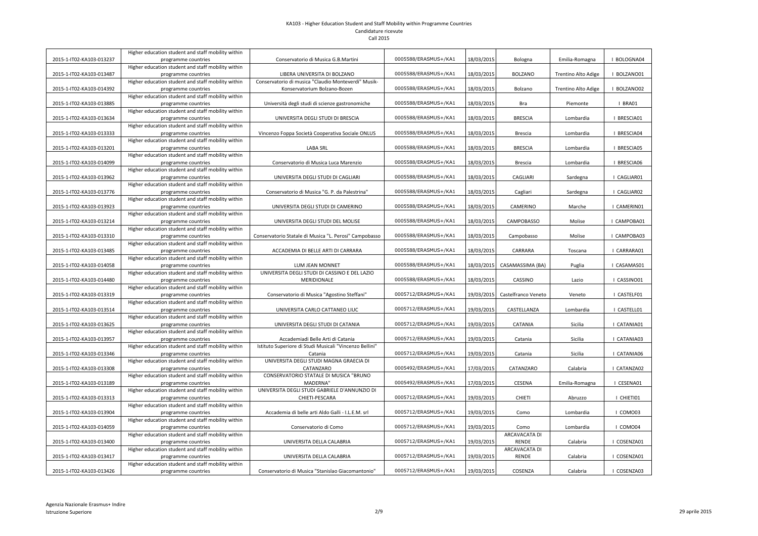|                          | Higher education student and staff mobility within                        |                                                                     | 0005588/ERASMUS+/KA1 |            |                     |                     |             |
|--------------------------|---------------------------------------------------------------------------|---------------------------------------------------------------------|----------------------|------------|---------------------|---------------------|-------------|
| 2015-1-IT02-KA103-013237 | programme countries<br>Higher education student and staff mobility within | Conservatorio di Musica G.B.Martini                                 |                      | 18/03/2015 | Bologna             | Emilia-Romagna      | BOLOGNA04   |
| 2015-1-IT02-KA103-013487 | programme countries                                                       | LIBERA UNIVERSITA DI BOLZANO                                        | 0005588/ERASMUS+/KA1 | 18/03/2015 | <b>BOLZANO</b>      | Trentino Alto Adige | I BOLZANO01 |
|                          | Higher education student and staff mobility within                        | Conservatorio di musica "Claudio Monteverdi" Musik-                 |                      |            |                     |                     |             |
| 2015-1-IT02-KA103-014392 | programme countries                                                       | Konservatorium Bolzano-Bozen                                        | 0005588/ERASMUS+/KA1 | 18/03/2015 | Bolzano             | Trentino Alto Adige | I BOLZANO02 |
|                          | Higher education student and staff mobility within                        |                                                                     |                      |            |                     |                     |             |
| 2015-1-IT02-KA103-013885 | programme countries                                                       | Università degli studi di scienze gastronomiche                     | 0005588/ERASMUS+/KA1 | 18/03/2015 | Bra                 | Piemonte            | I BRA01     |
|                          | Higher education student and staff mobility within                        |                                                                     |                      |            |                     |                     |             |
| 2015-1-IT02-KA103-013634 | programme countries                                                       | UNIVERSITA DEGLI STUDI DI BRESCIA                                   | 0005588/ERASMUS+/KA1 | 18/03/2015 | <b>BRESCIA</b>      | Lombardia           | BRESCIA01   |
|                          | Higher education student and staff mobility within                        |                                                                     |                      |            |                     |                     |             |
| 2015-1-IT02-KA103-013333 | programme countries                                                       | Vincenzo Foppa Società Cooperativa Sociale ONLUS                    | 0005588/ERASMUS+/KA1 | 18/03/2015 | <b>Brescia</b>      | Lombardia           | BRESCIA04   |
|                          | Higher education student and staff mobility within                        |                                                                     |                      |            |                     |                     |             |
| 2015-1-IT02-KA103-013201 | programme countries                                                       | <b>LABA SRL</b>                                                     | 0005588/ERASMUS+/KA1 | 18/03/2015 | <b>BRESCIA</b>      | Lombardia           | BRESCIA05   |
|                          | Higher education student and staff mobility within                        |                                                                     |                      |            |                     |                     |             |
| 2015-1-IT02-KA103-014099 | programme countries                                                       | Conservatorio di Musica Luca Marenzio                               | 0005588/ERASMUS+/KA1 | 18/03/2015 | <b>Brescia</b>      | Lombardia           | BRESCIA06   |
|                          | Higher education student and staff mobility within                        |                                                                     |                      |            |                     |                     |             |
| 2015-1-IT02-KA103-013962 | programme countries                                                       | UNIVERSITA DEGLI STUDI DI CAGLIARI                                  | 0005588/ERASMUS+/KA1 | 18/03/2015 | <b>CAGLIARI</b>     | Sardegna            | I CAGLIAR01 |
|                          | Higher education student and staff mobility within                        |                                                                     |                      |            |                     |                     |             |
| 2015-1-IT02-KA103-013776 | programme countries                                                       | Conservatorio di Musica "G. P. da Palestrina"                       | 0005588/ERASMUS+/KA1 | 18/03/2015 | Cagliari            | Sardegna            | I CAGLIAR02 |
|                          | Higher education student and staff mobility within                        |                                                                     |                      |            |                     |                     |             |
| 2015-1-IT02-KA103-013923 | programme countries                                                       | UNIVERSITA DEGLI STUDI DI CAMERINO                                  | 0005588/ERASMUS+/KA1 | 18/03/2015 | <b>CAMERINO</b>     | Marche              | I CAMERIN01 |
|                          | Higher education student and staff mobility within                        |                                                                     | 0005588/ERASMUS+/KA1 |            |                     |                     |             |
| 2015-1-IT02-KA103-013214 | programme countries                                                       | UNIVERSITA DEGLI STUDI DEL MOLISE                                   |                      | 18/03/2015 | <b>CAMPOBASSO</b>   | Molise              | I CAMPOBA01 |
| 2015-1-IT02-KA103-013310 | Higher education student and staff mobility within<br>programme countries | Conservatorio Statale di Musica "L. Perosi" Campobasso              | 0005588/ERASMUS+/KA1 | 18/03/2015 | Campobasso          | Molise              | I CAMPOBA03 |
|                          | Higher education student and staff mobility within                        |                                                                     |                      |            |                     |                     |             |
| 2015-1-IT02-KA103-013485 | programme countries                                                       | ACCADEMIA DI BELLE ARTI DI CARRARA                                  | 0005588/ERASMUS+/KA1 | 18/03/2015 | CARRARA             | Toscana             | CARRARA01   |
|                          | Higher education student and staff mobility within                        |                                                                     |                      |            |                     |                     |             |
|                          |                                                                           |                                                                     |                      |            |                     |                     |             |
|                          |                                                                           |                                                                     | 0005588/ERASMUS+/KA1 |            |                     |                     |             |
| 2015-1-IT02-KA103-014058 | programme countries                                                       | <b>LUM JEAN MONNET</b>                                              |                      | 18/03/2015 | CASAMASSIMA (BA)    | Puglia              | I CASAMAS01 |
| 2015-1-IT02-KA103-014480 | Higher education student and staff mobility within<br>programme countries | UNIVERSITA DEGLI STUDI DI CASSINO E DEL LAZIO<br><b>MERIDIONALE</b> | 0005588/ERASMUS+/KA1 | 18/03/2015 | CASSINO             | Lazio               | CASSINO01   |
|                          | Higher education student and staff mobility within                        |                                                                     |                      |            |                     |                     |             |
| 2015-1-IT02-KA103-013319 | programme countries                                                       | Conservatorio di Musica "Agostino Steffani"                         | 0005712/ERASMUS+/KA1 | 19/03/2015 | Castelfranco Veneto | Veneto              | CASTELF01   |
|                          | Higher education student and staff mobility within                        |                                                                     |                      |            |                     |                     |             |
| 2015-1-IT02-KA103-013514 | programme countries                                                       | UNIVERSITA CARLO CATTANEO LIUC                                      | 0005712/ERASMUS+/KA1 | 19/03/2015 | CASTELLANZA         | Lombardia           | CASTELL01   |
|                          | Higher education student and staff mobility within                        |                                                                     |                      |            |                     |                     |             |
| 2015-1-IT02-KA103-013625 | programme countries                                                       | UNIVERSITA DEGLI STUDI DI CATANIA                                   | 0005712/ERASMUS+/KA1 | 19/03/2015 | <b>CATANIA</b>      | Sicilia             | CATANIA01   |
|                          | Higher education student and staff mobility within                        |                                                                     |                      |            |                     |                     |             |
| 2015-1-IT02-KA103-013957 | programme countries                                                       | Accademiadi Belle Arti di Catania                                   | 0005712/ERASMUS+/KA1 | 19/03/2015 | Catania             | Sicilia             | CATANIA03   |
|                          | Higher education student and staff mobility within                        | Istituto Superiore di Studi Musicali "Vincenzo Bellini"             |                      |            |                     |                     |             |
| 2015-1-IT02-KA103-013346 | programme countries                                                       | Catania                                                             | 0005712/ERASMUS+/KA1 | 19/03/2015 | Catania             | Sicilia             | I CATANIA06 |
|                          | Higher education student and staff mobility within                        | UNIVERSITA DEGLI STUDI MAGNA GRAECIA DI                             |                      |            |                     |                     |             |
| 2015-1-IT02-KA103-013308 | programme countries                                                       | CATANZARO                                                           | 0005492/ERASMUS+/KA1 | 17/03/2015 | CATANZARO           | Calabria            | CATANZA02   |
|                          | Higher education student and staff mobility within                        | CONSERVATORIO STATALE DI MUSICA "BRUNO                              |                      |            |                     |                     |             |
| 2015-1-IT02-KA103-013189 | programme countries                                                       | MADERNA"                                                            | 0005492/ERASMUS+/KA1 | 17/03/2015 | <b>CESENA</b>       | Emilia-Romagna      | I CESENA01  |
| 2015-1-IT02-KA103-013313 | Higher education student and staff mobility within<br>programme countries | UNIVERSITA DEGLI STUDI GABRIELE D'ANNUNZIO DI<br>CHIETI-PESCARA     | 0005712/ERASMUS+/KA1 | 19/03/2015 | <b>CHIETI</b>       | Abruzzo             | I CHIETI01  |
|                          | Higher education student and staff mobility within                        |                                                                     |                      |            |                     |                     |             |
| 2015-1-IT02-KA103-013904 | programme countries                                                       | Accademia di belle arti Aldo Galli - I.L.E.M. srl                   | 0005712/ERASMUS+/KA1 | 19/03/2015 | Como                | Lombardia           | COMO03      |
|                          | Higher education student and staff mobility within                        |                                                                     |                      |            |                     |                     |             |
| 2015-1-IT02-KA103-014059 | programme countries                                                       | Conservatorio di Como                                               | 0005712/ERASMUS+/KA1 | 19/03/2015 | Como                | Lombardia           | COMO04      |
|                          | Higher education student and staff mobility within                        |                                                                     |                      |            | ARCAVACATA DI       |                     |             |
| 2015-1-IT02-KA103-013400 | programme countries                                                       | UNIVERSITA DELLA CALABRIA                                           | 0005712/ERASMUS+/KA1 | 19/03/2015 | <b>RENDE</b>        | Calabria            | COSENZA01   |
|                          | Higher education student and staff mobility within                        |                                                                     |                      |            | ARCAVACATA DI       |                     |             |
| 2015-1-IT02-KA103-013417 | programme countries                                                       | UNIVERSITA DELLA CALABRIA                                           | 0005712/ERASMUS+/KA1 | 19/03/2015 | <b>RENDE</b>        | Calabria            | COSENZA01   |
| 2015-1-IT02-KA103-013426 | Higher education student and staff mobility within<br>programme countries | Conservatorio di Musica "Stanislao Giacomantonio"                   | 0005712/ERASMUS+/KA1 | 19/03/2015 | COSENZA             | Calabria            | COSENZA03   |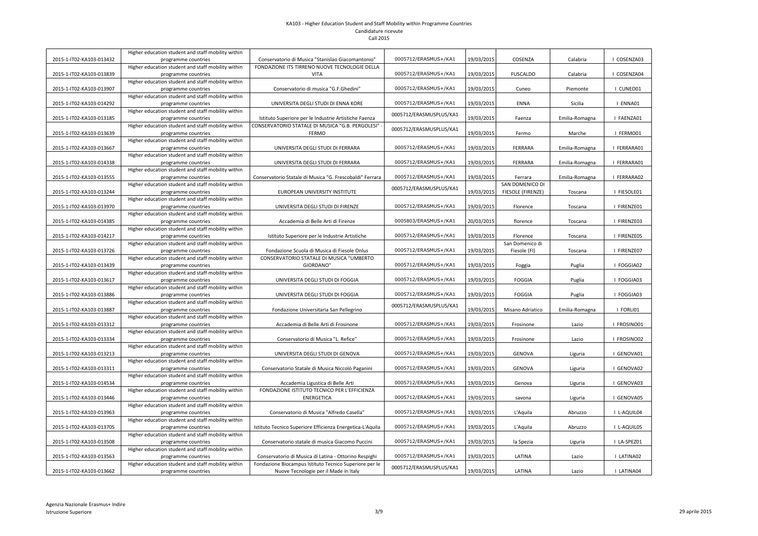|                          | Higher education student and staff mobility within                        |                                                           |                         |            |                        |                |             |
|--------------------------|---------------------------------------------------------------------------|-----------------------------------------------------------|-------------------------|------------|------------------------|----------------|-------------|
| 2015-1-IT02-KA103-013432 | programme countries                                                       | Conservatorio di Musica "Stanislao Giacomantonio"         | 0005712/ERASMUS+/KA1    | 19/03/2015 | COSENZA                | Calabria       | COSENZA03   |
|                          | Higher education student and staff mobility within                        | FONDAZIONE ITS TIRRENO NUOVE TECNOLOGIE DELLA             |                         |            |                        |                |             |
| 2015-1-IT02-KA103-013839 | programme countries<br>Higher education student and staff mobility within | <b>VITA</b>                                               | 0005712/ERASMUS+/KA1    | 19/03/2015 | <b>FUSCALDO</b>        | Calabria       | COSENZA04   |
| 2015-1-IT02-KA103-013907 |                                                                           | Conservatorio di musica "G.F.Ghedini"                     | 0005712/ERASMUS+/KA1    | 19/03/2015 | Cuneo                  | Piemonte       | I CUNEO01   |
|                          | programme countries<br>Higher education student and staff mobility within |                                                           |                         |            |                        |                |             |
|                          |                                                                           | UNIVERSITA DEGLI STUDI DI ENNA KORE                       | 0005712/ERASMUS+/KA1    |            | <b>ENNA</b>            | Sicilia        | ENNA01      |
| 2015-1-IT02-KA103-014292 | programme countries<br>Higher education student and staff mobility within |                                                           |                         | 19/03/2015 |                        |                |             |
| 2015-1-IT02-KA103-013185 | programme countries                                                       | Istituto Superiore per le Industrie Artistiche Faenza     | 0005712/ERASMUSPLUS/KA1 | 19/03/2015 | Faenza                 | Emilia-Romagna | I FAENZA01  |
|                          | Higher education student and staff mobility within                        | CONSERVATORIO STATALE DI MUSICA "G.B. PERGOLESI"          |                         |            |                        |                |             |
| 2015-1-IT02-KA103-013639 | programme countries                                                       | <b>FERMO</b>                                              | 0005712/ERASMUSPLUS/KA1 | 19/03/2015 | Fermo                  | Marche         | I FERMO01   |
|                          | Higher education student and staff mobility within                        |                                                           |                         |            |                        |                |             |
| 2015-1-IT02-KA103-013667 | programme countries                                                       | UNIVERSITA DEGLI STUDI DI FERRARA                         | 0005712/ERASMUS+/KA1    | 19/03/2015 | FERRARA                | Emilia-Romagna | I FERRARA01 |
|                          | Higher education student and staff mobility within                        |                                                           |                         |            |                        |                |             |
| 2015-1-IT02-KA103-014338 | programme countries                                                       | UNIVERSITA DEGLI STUDI DI FERRARA                         | 0005712/ERASMUS+/KA1    | 19/03/2015 | FERRARA                | Emilia-Romagna | I FERRARA01 |
|                          | Higher education student and staff mobility within                        |                                                           |                         |            |                        |                |             |
| 2015-1-IT02-KA103-013555 | programme countries                                                       | Conservatorio Statale di Musica "G. Frescobaldi" Ferrara  | 0005712/ERASMUS+/KA1    | 19/03/2015 | Ferrara                | Emilia-Romagna | I FERRARA02 |
|                          | Higher education student and staff mobility within                        |                                                           |                         |            | <b>SAN DOMENICO DI</b> |                |             |
| 2015-1-IT02-KA103-013244 | programme countries                                                       | EUROPEAN UNIVERSITY INSTITUTE                             | 0005712/ERASMUSPLUS/KA1 | 19/03/2015 | FIESOLE (FIRENZE)      | Toscana        | I FIESOLE01 |
|                          | Higher education student and staff mobility within                        |                                                           |                         |            |                        |                |             |
| 2015-1-IT02-KA103-013970 | programme countries                                                       | UNIVERSITA DEGLI STUDI DI FIRENZE                         | 0005712/ERASMUS+/KA1    | 19/03/2015 | Florence               | Toscana        | I FIRENZE01 |
|                          | Higher education student and staff mobility within                        |                                                           |                         |            |                        |                |             |
| 2015-1-IT02-KA103-014385 | programme countries                                                       | Accademia di Belle Arti di Firenze                        | 0005803/ERASMUS+/KA1    | 20/03/2015 | florence               | Toscana        | I FIRENZE03 |
|                          | Higher education student and staff mobility within                        |                                                           |                         |            |                        |                |             |
| 2015-1-IT02-KA103-014217 | programme countries                                                       | Istituto Superiore per le Industrie Artistiche            | 0005712/ERASMUS+/KA1    | 19/03/2015 | Florence               | Toscana        | I FIRENZE05 |
|                          | Higher education student and staff mobility within                        |                                                           |                         |            | San Domenico di        |                |             |
| 2015-1-IT02-KA103-013726 | programme countries                                                       | Fondazione Scuola di Musica di Fiesole Onlus              | 0005712/ERASMUS+/KA1    | 19/03/2015 | Fiesole (FI)           | Toscana        | I FIRENZE07 |
|                          | Higher education student and staff mobility within                        | CONSERVATORIO STATALE DI MUSICA "UMBERTO                  |                         |            |                        |                |             |
| 2015-1-IT02-KA103-013439 | programme countries                                                       | GIORDANO"                                                 | 0005712/ERASMUS+/KA1    | 19/03/2015 | Foggia                 | Puglia         | I FOGGIA02  |
|                          | Higher education student and staff mobility within                        |                                                           |                         |            |                        |                |             |
| 2015-1-IT02-KA103-013617 | programme countries                                                       | UNIVERSITA DEGLI STUDI DI FOGGIA                          | 0005712/ERASMUS+/KA1    | 19/03/2015 | <b>FOGGIA</b>          | Puglia         | I FOGGIA03  |
|                          | Higher education student and staff mobility within                        |                                                           |                         |            |                        |                |             |
| 2015-1-IT02-KA103-013886 | programme countries                                                       | UNIVERSITA DEGLI STUDI DI FOGGIA                          | 0005712/ERASMUS+/KA1    | 19/03/2015 | <b>FOGGIA</b>          | Puglia         | I FOGGIA03  |
|                          | Higher education student and staff mobility within                        | Fondazione Universitaria San Pellegrino                   | 0005712/ERASMUSPLUS/KA1 | 19/03/2015 |                        |                | FORLI01     |
| 2015-1-IT02-KA103-013887 | programme countries<br>Higher education student and staff mobility within |                                                           |                         |            | Misano Adriatico       | Emilia-Romagna |             |
| 2015-1-IT02-KA103-013312 | programme countries                                                       | Accademia di Belle Arti di Frosinone                      | 0005712/ERASMUS+/KA1    | 19/03/2015 | Frosinone              | Lazio          | I FROSINO01 |
|                          | Higher education student and staff mobility within                        |                                                           |                         |            |                        |                |             |
| 2015-1-IT02-KA103-013334 | programme countries                                                       | Conservatorio di Musica "L. Refice"                       | 0005712/ERASMUS+/KA1    | 19/03/2015 | Frosinone              | Lazio          | FROSINO02   |
|                          | Higher education student and staff mobility within                        |                                                           |                         |            |                        |                |             |
| 2015-1-IT02-KA103-013213 | programme countries                                                       | UNIVERSITA DEGLI STUDI DI GENOVA                          | 0005712/ERASMUS+/KA1    | 19/03/2015 | <b>GENOVA</b>          | Liguria        | GENOVA01    |
|                          | Higher education student and staff mobility within                        |                                                           |                         |            |                        |                |             |
| 2015-1-IT02-KA103-013311 | programme countries                                                       | Conservatorio Statale di Musica Niccolò Paganini          | 0005712/ERASMUS+/KA1    | 19/03/2015 | <b>GENOVA</b>          | Liguria        | GENOVA02    |
|                          | Higher education student and staff mobility within                        |                                                           |                         |            |                        |                |             |
| 2015-1-IT02-KA103-014534 | programme countries                                                       | Accademia Ligustica di Belle Arti                         | 0005712/ERASMUS+/KA1    | 19/03/2015 | Genova                 | Liguria        | GENOVA03    |
|                          | Higher education student and staff mobility within                        | FONDAZIONE ISTITUTO TECNICO PER L'EFFICIENZA              |                         |            |                        |                |             |
| 2015-1-IT02-KA103-013446 | programme countries                                                       | <b>ENERGETICA</b>                                         | 0005712/ERASMUS+/KA1    | 19/03/2015 | savona                 | Liguria        | GENOVA05    |
|                          | Higher education student and staff mobility within                        |                                                           |                         |            |                        |                |             |
| 2015-1-IT02-KA103-013963 | programme countries                                                       | Conservatorio di Musica "Alfredo Casella"                 | 0005712/ERASMUS+/KA1    | 19/03/2015 | L'Aquila               | Abruzzo        | I L-AQUIL04 |
|                          | Higher education student and staff mobility within                        |                                                           |                         |            |                        |                |             |
| 2015-1-IT02-KA103-013705 | programme countries                                                       | Istituto Tecnico Superiore Efficienza Energetica-L'Aquila | 0005712/ERASMUS+/KA1    | 19/03/2015 | L'Aquila               | Abruzzo        | I L-AQUIL05 |
|                          | Higher education student and staff mobility within                        |                                                           |                         |            |                        |                |             |
| 2015-1-IT02-KA103-013508 | programme countries                                                       | Conservatorio statale di musica Giacomo Puccini           | 0005712/ERASMUS+/KA1    | 19/03/2015 | la Spezia              | Liguria        | I LA-SPEZ01 |
|                          | Higher education student and staff mobility within                        |                                                           |                         |            |                        |                |             |
| 2015-1-IT02-KA103-013563 | programme countries                                                       | Conservatorio di Musica di Latina - Ottorino Respighi     | 0005712/ERASMUS+/KA1    | 19/03/2015 | LATINA                 | Lazio          | I LATINA02  |
|                          | Higher education student and staff mobility within                        | Fondazione Biocampus Istituto Tecnico Superiore per le    | 0005712/ERASMUSPLUS/KA1 |            |                        |                |             |
| 2015-1-IT02-KA103-013662 | programme countries                                                       | Nuove Tecnologie per il Made in Italy                     |                         | 19/03/2015 | LATINA                 | Lazio          | I LATINA04  |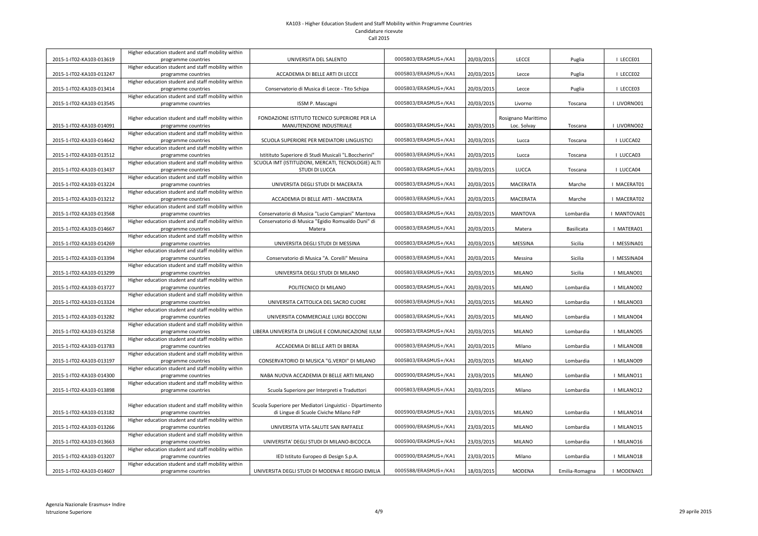|                          | Higher education student and staff mobility within                        |                                                           |                      |            |                     |                |             |
|--------------------------|---------------------------------------------------------------------------|-----------------------------------------------------------|----------------------|------------|---------------------|----------------|-------------|
| 2015-1-IT02-KA103-013619 | programme countries                                                       | UNIVERSITA DEL SALENTO                                    | 0005803/ERASMUS+/KA1 | 20/03/2015 | <b>LECCE</b>        | Puglia         | I LECCE01   |
|                          | Higher education student and staff mobility within                        |                                                           |                      |            |                     |                |             |
| 2015-1-IT02-KA103-013247 | programme countries                                                       | ACCADEMIA DI BELLE ARTI DI LECCE                          | 0005803/ERASMUS+/KA1 | 20/03/2015 | Lecce               | Puglia         | I LECCE02   |
|                          | Higher education student and staff mobility within                        |                                                           |                      |            |                     |                |             |
| 2015-1-IT02-KA103-013414 | programme countries                                                       | Conservatorio di Musica di Lecce - Tito Schipa            | 0005803/ERASMUS+/KA1 | 20/03/2015 | Lecce               | Puglia         | I LECCE03   |
|                          | Higher education student and staff mobility within                        |                                                           |                      |            |                     |                |             |
| 2015-1-IT02-KA103-013545 | programme countries                                                       | ISSM P. Mascagni                                          | 0005803/ERASMUS+/KA1 | 20/03/2015 | Livorno             | Toscana        | I LIVORNO01 |
|                          | Higher education student and staff mobility within                        | FONDAZIONE ISTITUTO TECNICO SUPERIORE PER LA              |                      |            | Rosignano Marittimo |                |             |
| 2015-1-IT02-KA103-014091 | programme countries                                                       | MANUTENZIONE INDUSTRIALE                                  | 0005803/ERASMUS+/KA1 | 20/03/2015 | Loc. Solvay         | Toscana        | I LIVORNO02 |
|                          | Higher education student and staff mobility within                        |                                                           |                      |            |                     |                |             |
| 2015-1-IT02-KA103-014642 | programme countries                                                       | SCUOLA SUPERIORE PER MEDIATORI LINGUISTICI                | 0005803/ERASMUS+/KA1 | 20/03/2015 | Lucca               | Toscana        | I LUCCA02   |
|                          | Higher education student and staff mobility within                        |                                                           |                      |            |                     |                |             |
| 2015-1-IT02-KA103-013512 | programme countries                                                       | Istitituto Superiore di Studi Musicali "L.Boccherini"     | 0005803/ERASMUS+/KA1 | 20/03/2015 | Lucca               | Toscana        | I LUCCA03   |
|                          | Higher education student and staff mobility within                        | SCUOLA IMT (ISTITUZIONI, MERCATI, TECNOLOGIE) ALTI        |                      |            |                     |                |             |
| 2015-1-IT02-KA103-013437 | programme countries                                                       | <b>STUDI DI LUCCA</b>                                     | 0005803/ERASMUS+/KA1 | 20/03/2015 | <b>LUCCA</b>        | Toscana        | I LUCCA04   |
|                          | Higher education student and staff mobility within                        |                                                           |                      |            |                     |                |             |
| 2015-1-IT02-KA103-013224 | programme countries                                                       | UNIVERSITA DEGLI STUDI DI MACERATA                        | 0005803/ERASMUS+/KA1 | 20/03/2015 | <b>MACERATA</b>     | Marche         | I MACERAT01 |
|                          | Higher education student and staff mobility within                        |                                                           |                      |            |                     |                |             |
| 2015-1-IT02-KA103-013212 | programme countries                                                       | ACCADEMIA DI BELLE ARTI - MACERATA                        | 0005803/ERASMUS+/KA1 | 20/03/2015 | <b>MACERATA</b>     | Marche         | I MACERAT02 |
|                          | Higher education student and staff mobility within                        |                                                           |                      |            |                     |                |             |
| 2015-1-IT02-KA103-013568 | programme countries                                                       | Conservatorio di Musica "Lucio Campiani" Mantova          | 0005803/ERASMUS+/KA1 | 20/03/2015 | <b>MANTOVA</b>      | Lombardia      | I MANTOVA01 |
|                          | Higher education student and staff mobility within                        | Conservatorio di Musica "Egidio Romualdo Duni" di         |                      |            |                     |                |             |
| 2015-1-IT02-KA103-014667 | programme countries                                                       | Matera                                                    | 0005803/ERASMUS+/KA1 | 20/03/2015 | Matera              | Basilicata     | I MATERA01  |
|                          | Higher education student and staff mobility within                        |                                                           |                      |            |                     |                |             |
| 2015-1-IT02-KA103-014269 | programme countries                                                       | UNIVERSITA DEGLI STUDI DI MESSINA                         | 0005803/ERASMUS+/KA1 | 20/03/2015 | <b>MESSINA</b>      | Sicilia        | I MESSINA01 |
|                          | Higher education student and staff mobility within                        |                                                           |                      |            |                     |                |             |
| 2015-1-IT02-KA103-013394 | programme countries                                                       | Conservatorio di Musica "A. Corelli" Messina              | 0005803/ERASMUS+/KA1 | 20/03/2015 | Messina             | Sicilia        | I MESSINA04 |
|                          | Higher education student and staff mobility within                        |                                                           |                      |            |                     |                |             |
| 2015-1-IT02-KA103-013299 | programme countries                                                       | UNIVERSITA DEGLI STUDI DI MILANO                          | 0005803/ERASMUS+/KA1 | 20/03/2015 | MILANO              | Sicilia        | I MILANO01  |
|                          | Higher education student and staff mobility within                        |                                                           |                      |            |                     |                |             |
| 2015-1-IT02-KA103-013727 | programme countries                                                       | POLITECNICO DI MILANO                                     | 0005803/ERASMUS+/KA1 | 20/03/2015 | <b>MILANO</b>       | Lombardia      | I MILANO02  |
|                          | Higher education student and staff mobility within                        |                                                           |                      |            |                     |                |             |
| 2015-1-IT02-KA103-013324 | programme countries                                                       | UNIVERSITA CATTOLICA DEL SACRO CUORE                      | 0005803/ERASMUS+/KA1 | 20/03/2015 | <b>MILANO</b>       | Lombardia      | MILANO03    |
|                          | Higher education student and staff mobility within                        |                                                           |                      |            |                     |                |             |
| 2015-1-IT02-KA103-013282 | programme countries                                                       | UNIVERSITA COMMERCIALE LUIGI BOCCONI                      | 0005803/ERASMUS+/KA1 | 20/03/2015 | <b>MILANO</b>       | Lombardia      | MILANO04    |
|                          | Higher education student and staff mobility within                        |                                                           |                      |            |                     |                |             |
| 2015-1-IT02-KA103-013258 | programme countries                                                       | LIBERA UNIVERSITA DI LINGUE E COMUNICAZIONE IULM          | 0005803/ERASMUS+/KA1 | 20/03/2015 | <b>MILANO</b>       | Lombardia      | MILANO05    |
|                          | Higher education student and staff mobility within                        |                                                           |                      |            |                     |                |             |
| 2015-1-IT02-KA103-013783 | programme countries                                                       | ACCADEMIA DI BELLE ARTI DI BRERA                          | 0005803/ERASMUS+/KA1 | 20/03/2015 | Milano              | Lombardia      | I MILANO08  |
|                          | Higher education student and staff mobility within                        |                                                           | 0005803/ERASMUS+/KA1 |            |                     |                |             |
| 2015-1-IT02-KA103-013197 | programme countries<br>Higher education student and staff mobility within | CONSERVATORIO DI MUSICA "G.VERDI" DI MILANO               |                      | 20/03/2015 | <b>MILANO</b>       | Lombardia      | I MILANO09  |
| 2015-1-IT02-KA103-014300 | programme countries                                                       | NABA NUOVA ACCADEMIA DI BELLE ARTI MILANO                 | 0005900/ERASMUS+/KA1 | 23/03/2015 | <b>MILANO</b>       | Lombardia      | MILANO11    |
|                          | Higher education student and staff mobility within                        |                                                           |                      |            |                     |                |             |
| 2015-1-IT02-KA103-013898 | programme countries                                                       | Scuola Superiore per Interpreti e Traduttori              | 0005803/ERASMUS+/KA1 | 20/03/2015 | Milano              | Lombardia      | MILANO12    |
|                          |                                                                           |                                                           |                      |            |                     |                |             |
|                          | Higher education student and staff mobility within                        | Scuola Superiore per Mediatori Linguistici - Dipartimento |                      |            |                     |                |             |
| 2015-1-IT02-KA103-013182 | programme countries                                                       | di Lingue di Scuole Civiche Milano FdP                    | 0005900/ERASMUS+/KA1 | 23/03/2015 | <b>MILANO</b>       | Lombardia      | MILANO14    |
|                          | Higher education student and staff mobility within                        |                                                           |                      |            |                     |                |             |
| 2015-1-IT02-KA103-013266 | programme countries                                                       | UNIVERSITA VITA-SALUTE SAN RAFFAELE                       | 0005900/ERASMUS+/KA1 | 23/03/2015 | <b>MILANO</b>       | Lombardia      | MILANO15    |
|                          | Higher education student and staff mobility within                        |                                                           |                      |            |                     |                |             |
| 2015-1-IT02-KA103-013663 | programme countries                                                       | UNIVERSITA' DEGLI STUDI DI MILANO-BICOCCA                 | 0005900/ERASMUS+/KA1 | 23/03/2015 | <b>MILANO</b>       | Lombardia      | MILANO16    |
|                          | Higher education student and staff mobility within                        |                                                           |                      |            |                     |                |             |
| 2015-1-IT02-KA103-013207 | programme countries                                                       | IED Istituto Europeo di Design S.p.A.                     | 0005900/ERASMUS+/KA1 | 23/03/2015 | Milano              | Lombardia      | MILANO18    |
|                          | Higher education student and staff mobility within                        |                                                           |                      |            |                     |                |             |
| 2015-1-IT02-KA103-014607 | programme countries                                                       | UNIVERSITA DEGLI STUDI DI MODENA E REGGIO EMILIA          | 0005588/ERASMUS+/KA1 | 18/03/2015 | <b>MODENA</b>       | Emilia-Romagna | MODENA01    |
|                          |                                                                           |                                                           |                      |            |                     |                |             |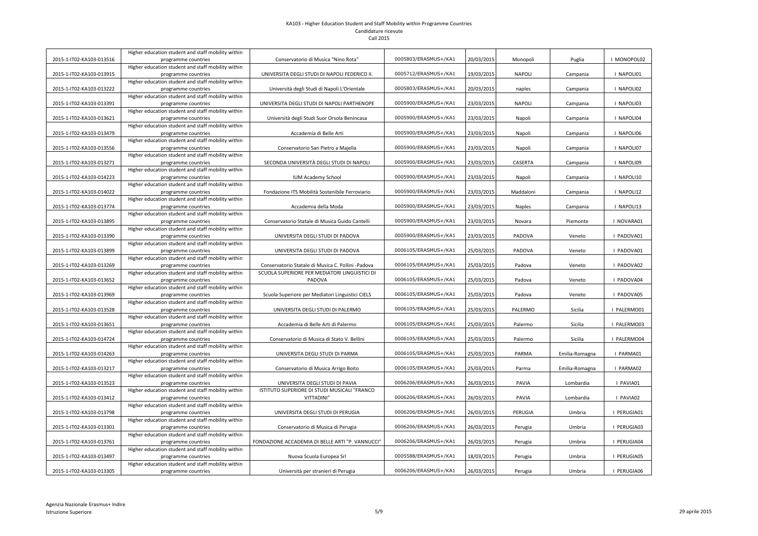|                          | Higher education student and staff mobility within                        |                                                    |                      |            |                |                |             |
|--------------------------|---------------------------------------------------------------------------|----------------------------------------------------|----------------------|------------|----------------|----------------|-------------|
| 2015-1-IT02-KA103-013516 | programme countries                                                       | Conservatorio di Musica "Nino Rota"                | 0005803/ERASMUS+/KA1 | 20/03/2015 | Monopoli       | Puglia         | I MONOPOL02 |
|                          | Higher education student and staff mobility within                        |                                                    |                      |            |                |                |             |
| 2015-1-IT02-KA103-013915 | programme countries                                                       | UNIVERSITA DEGLI STUDI DI NAPOLI FEDERICO II.      | 0005712/ERASMUS+/KA1 | 19/03/2015 | <b>NAPOLI</b>  | Campania       | I NAPOLI01  |
|                          | Higher education student and staff mobility within                        |                                                    |                      |            |                |                |             |
| 2015-1-IT02-KA103-013222 | programme countries                                                       | Università degli Studi di Napoli L'Orientale       | 0005803/ERASMUS+/KA1 | 20/03/2015 | naples         | Campania       | I NAPOLI02  |
|                          | Higher education student and staff mobility within                        |                                                    |                      |            |                |                |             |
| 2015-1-IT02-KA103-013391 | programme countries                                                       | UNIVERSITA DEGLI STUDI DI NAPOLI PARTHENOPE        | 0005900/ERASMUS+/KA1 | 23/03/2015 | <b>NAPOLI</b>  | Campania       | I NAPOLI03  |
|                          | Higher education student and staff mobility within                        |                                                    | 0005900/ERASMUS+/KA1 |            |                |                | I NAPOLI04  |
| 2015-1-IT02-KA103-013621 | programme countries<br>Higher education student and staff mobility within | Università degli Studi Suor Orsola Benincasa       |                      | 23/03/2015 | Napoli         | Campania       |             |
| 2015-1-IT02-KA103-013479 | programme countries                                                       | Accademia di Belle Arti                            | 0005900/ERASMUS+/KA1 | 23/03/2015 | Napoli         | Campania       | I NAPOLI06  |
|                          | Higher education student and staff mobility within                        |                                                    |                      |            |                |                |             |
| 2015-1-IT02-KA103-013556 | programme countries                                                       | Conservatorio San Pietro a Majella                 | 0005900/ERASMUS+/KA1 | 23/03/2015 | Napoli         | Campania       | I NAPOLI07  |
|                          | Higher education student and staff mobility within                        |                                                    |                      |            |                |                |             |
| 2015-1-IT02-KA103-013271 | programme countries                                                       | SECONDA UNIVERSITÀ DEGLI STUDI DI NAPOLI           | 0005900/ERASMUS+/KA1 | 23/03/2015 | <b>CASERTA</b> | Campania       | I NAPOLI09  |
|                          | Higher education student and staff mobility within                        |                                                    |                      |            |                |                |             |
| 2015-1-IT02-KA103-014223 | programme countries                                                       | <b>IUM Academy School</b>                          | 0005900/ERASMUS+/KA1 | 23/03/2015 | Napoli         | Campania       | I NAPOLI10  |
|                          | Higher education student and staff mobility within                        |                                                    |                      |            |                |                |             |
| 2015-1-IT02-KA103-014022 | programme countries                                                       | Fondazione ITS Mobilità Sostenibile Ferroviario    | 0005900/ERASMUS+/KA1 | 23/03/2015 | Maddaloni      | Campania       | I NAPOLI12  |
|                          | Higher education student and staff mobility within                        |                                                    |                      |            |                |                |             |
| 2015-1-IT02-KA103-013774 | programme countries                                                       | Accademia della Moda                               | 0005900/ERASMUS+/KA1 | 23/03/2015 | <b>Naples</b>  | Campania       | I NAPOLI13  |
|                          | Higher education student and staff mobility within                        |                                                    |                      |            |                |                |             |
| 2015-1-IT02-KA103-013895 | programme countries                                                       | Conservatorio Statale di Musica Guido Cantelli     | 0005900/ERASMUS+/KA1 | 23/03/2015 | Novara         | Piemonte       | I NOVARA01  |
|                          | Higher education student and staff mobility within                        |                                                    |                      |            |                |                |             |
| 2015-1-IT02-KA103-013390 | programme countries                                                       | UNIVERSITA DEGLI STUDI DI PADOVA                   | 0005900/ERASMUS+/KA1 | 23/03/2015 | PADOVA         | Veneto         | PADOVA01    |
|                          | Higher education student and staff mobility within                        |                                                    | 0006105/ERASMUS+/KA1 |            |                |                |             |
| 2015-1-IT02-KA103-013899 | programme countries<br>Higher education student and staff mobility within | UNIVERSITA DEGLI STUDI DI PADOVA                   |                      | 25/03/2015 | PADOVA         | Veneto         | PADOVA01    |
| 2015-1-IT02-KA103-013269 | programme countries                                                       | Conservatorio Statale di Musica C. Pollini -Padova | 0006105/ERASMUS+/KA1 | 25/03/2015 | Padova         | Veneto         | PADOVA02    |
|                          | Higher education student and staff mobility within                        | SCUOLA SUPERIORE PER MEDIATORI LINGUISTICI DI      |                      |            |                |                |             |
| 2015-1-IT02-KA103-013652 | programme countries                                                       | PADOVA                                             | 0006105/ERASMUS+/KA1 | 25/03/2015 | Padova         | Veneto         | PADOVA04    |
|                          | Higher education student and staff mobility within                        |                                                    |                      |            |                |                |             |
| 2015-1-IT02-KA103-013969 | programme countries                                                       | Scuola Superiore per Mediatori Linguistici CIELS   | 0006105/ERASMUS+/KA1 | 25/03/2015 | Padova         | Veneto         | I PADOVA05  |
|                          | Higher education student and staff mobility within                        |                                                    |                      |            |                |                |             |
| 2015-1-IT02-KA103-013528 | programme countries                                                       | UNIVERSITA DEGLI STUDI DI PALERMO                  | 0006105/ERASMUS+/KA1 | 25/03/2015 | PALERMO        | Sicilia        | I PALERMO01 |
|                          | Higher education student and staff mobility within                        |                                                    |                      |            |                |                |             |
| 2015-1-IT02-KA103-013651 | programme countries                                                       | Accademia di Belle Arti di Palermo                 | 0006105/ERASMUS+/KA1 | 25/03/2015 | Palermo        | Sicilia        | I PALERMO03 |
|                          | Higher education student and staff mobility within                        |                                                    |                      |            |                |                |             |
| 2015-1-IT02-KA103-014724 | programme countries                                                       | Conservatorio di Musica di Stato V. Bellini        | 0006105/ERASMUS+/KA1 | 25/03/2015 | Palermo        | Sicilia        | I PALERMO04 |
|                          | Higher education student and staff mobility within                        |                                                    | 0006105/ERASMUS+/KA1 |            |                |                |             |
| 2015-1-IT02-KA103-014263 | programme countries<br>Higher education student and staff mobility within | UNIVERSITA DEGLI STUDI DI PARMA                    |                      | 25/03/2015 | PARMA          | Emilia-Romagna | I PARMA01   |
| 2015-1-IT02-KA103-013217 | programme countries                                                       | Conservatorio di Musica Arrigo Boito               | 0006105/ERASMUS+/KA1 | 25/03/2015 | Parma          | Emilia-Romagna | PARMA02     |
|                          | Higher education student and staff mobility within                        |                                                    |                      |            |                |                |             |
| 2015-1-IT02-KA103-013523 | programme countries                                                       | UNIVERSITA DEGLI STUDI DI PAVIA                    | 0006206/ERASMUS+/KA1 | 26/03/2015 | PAVIA          | Lombardia      | I PAVIA01   |
|                          | Higher education student and staff mobility within                        | ISTITUTO SUPERIORE DI STUDI MUSICALI "FRANCO       |                      |            |                |                |             |
| 2015-1-IT02-KA103-013412 | programme countries                                                       | <b>VITTADINI"</b>                                  | 0006206/ERASMUS+/KA1 | 26/03/2015 | PAVIA          | Lombardia      | PAVIA02     |
|                          | Higher education student and staff mobility within                        |                                                    |                      |            |                |                |             |
| 2015-1-IT02-KA103-013798 | programme countries                                                       | UNIVERSITA DEGLI STUDI DI PERUGIA                  | 0006206/ERASMUS+/KA1 | 26/03/2015 | PERUGIA        | Umbria         | I PERUGIA01 |
|                          | Higher education student and staff mobility within                        |                                                    |                      |            |                |                |             |
| 2015-1-IT02-KA103-013301 | programme countries                                                       | Conservatorio di Musica di Perugia                 | 0006206/ERASMUS+/KA1 | 26/03/2015 | Perugia        | Umbria         | I PERUGIA03 |
|                          | Higher education student and staff mobility within                        |                                                    |                      |            |                |                |             |
| 2015-1-IT02-KA103-013761 | programme countries                                                       | FONDAZIONE ACCADEMIA DI BELLE ARTI "P. VANNUCCI"   | 0006206/ERASMUS+/KA1 | 26/03/2015 | Perugia        | Umbria         | I PERUGIA04 |
|                          | Higher education student and staff mobility within                        |                                                    | 0005588/ERASMUS+/KA1 |            |                |                |             |
| 2015-1-IT02-KA103-013497 | programme countries<br>Higher education student and staff mobility within | Nuova Scuola Europea Srl                           |                      | 18/03/2015 | Perugia        | Umbria         | I PERUGIA05 |
| 2015-1-IT02-KA103-013305 | programme countries                                                       | Università per stranieri di Perugia                | 0006206/ERASMUS+/KA1 | 26/03/2015 | Perugia        | Umbria         | I PERUGIA06 |
|                          |                                                                           |                                                    |                      |            |                |                |             |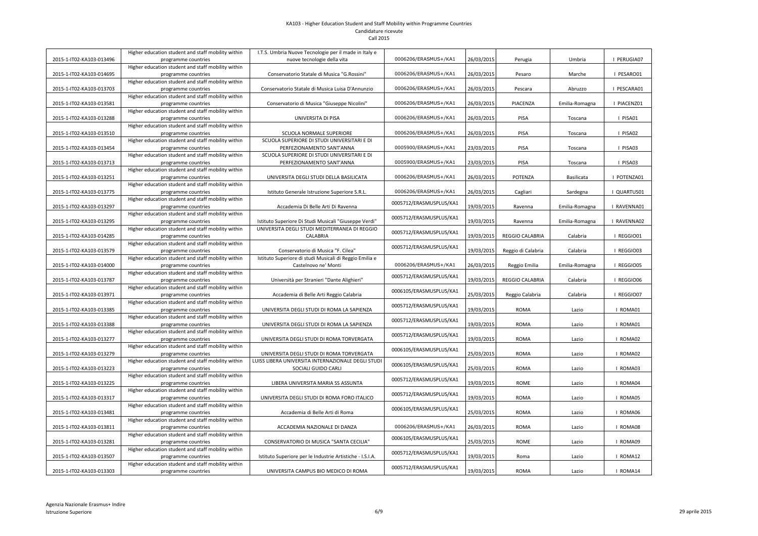|                          | Higher education student and staff mobility within                        | I.T.S. Umbria Nuove Tecnologie per il made in Italy e                                         |                         |            |                        |                |             |
|--------------------------|---------------------------------------------------------------------------|-----------------------------------------------------------------------------------------------|-------------------------|------------|------------------------|----------------|-------------|
| 2015-1-IT02-KA103-013496 | programme countries                                                       | nuove tecnologie della vita                                                                   | 0006206/ERASMUS+/KA1    | 26/03/2015 | Perugia                | Umbria         | PERUGIA07   |
|                          | Higher education student and staff mobility within                        |                                                                                               |                         |            |                        |                |             |
| 2015-1-IT02-KA103-014695 | programme countries                                                       | Conservatorio Statale di Musica "G.Rossini"                                                   | 0006206/ERASMUS+/KA1    | 26/03/2015 | Pesaro                 | Marche         | I PESARO01  |
|                          | Higher education student and staff mobility within                        |                                                                                               |                         |            |                        |                |             |
| 2015-1-IT02-KA103-013703 | programme countries                                                       | Conservatorio Statale di Musica Luisa D'Annunzio                                              | 0006206/ERASMUS+/KA1    | 26/03/2015 | Pescara                | Abruzzo        | I PESCARA01 |
|                          | Higher education student and staff mobility within                        |                                                                                               | 0006206/ERASMUS+/KA1    | 26/03/2015 | PIACENZA               |                | PIACENZ01   |
| 2015-1-IT02-KA103-013581 | programme countries<br>Higher education student and staff mobility within | Conservatorio di Musica "Giuseppe Nicolini"                                                   |                         |            |                        | Emilia-Romagna |             |
| 2015-1-IT02-KA103-013288 | programme countries                                                       | UNIVERSITA DI PISA                                                                            | 0006206/ERASMUS+/KA1    | 26/03/2015 | PISA                   | Toscana        | I PISA01    |
|                          | Higher education student and staff mobility within                        |                                                                                               |                         |            |                        |                |             |
| 2015-1-IT02-KA103-013510 | programme countries                                                       | <b>SCUOLA NORMALE SUPERIORE</b>                                                               | 0006206/ERASMUS+/KA1    | 26/03/2015 | PISA                   | Toscana        | I PISA02    |
|                          | Higher education student and staff mobility within                        | SCUOLA SUPERIORE DI STUDI UNIVERSITARI E DI                                                   |                         |            |                        |                |             |
| 2015-1-IT02-KA103-013454 | programme countries                                                       | PERFEZIONAMENTO SANT'ANNA                                                                     | 0005900/ERASMUS+/KA1    | 23/03/2015 | <b>PISA</b>            | Toscana        | I PISA03    |
|                          | Higher education student and staff mobility within                        | SCUOLA SUPERIORE DI STUDI UNIVERSITARI E DI                                                   |                         |            |                        |                |             |
| 2015-1-IT02-KA103-013713 | programme countries                                                       | PERFEZIONAMENTO SANT'ANNA                                                                     | 0005900/ERASMUS+/KA1    | 23/03/2015 | <b>PISA</b>            | Toscana        | I PISA03    |
|                          | Higher education student and staff mobility within                        |                                                                                               |                         |            |                        |                |             |
| 2015-1-IT02-KA103-013251 | programme countries                                                       | UNIVERSITA DEGLI STUDI DELLA BASILICATA                                                       | 0006206/ERASMUS+/KA1    | 26/03/2015 | POTENZA                | Basilicata     | POTENZA01   |
|                          | Higher education student and staff mobility within                        |                                                                                               |                         |            |                        |                |             |
| 2015-1-IT02-KA103-013775 | programme countries                                                       | Istituto Generale Istruzione Superiore S.R.L.                                                 | 0006206/ERASMUS+/KA1    | 26/03/2015 | Cagliari               | Sardegna       | QUARTUS01   |
|                          | Higher education student and staff mobility within                        |                                                                                               | 0005712/ERASMUSPLUS/KA1 |            |                        |                |             |
| 2015-1-IT02-KA103-013297 | programme countries                                                       | Accademia Di Belle Arti Di Ravenna                                                            |                         | 19/03/2015 | Ravenna                | Emilia-Romagna | I RAVENNA01 |
|                          | Higher education student and staff mobility within                        |                                                                                               | 0005712/ERASMUSPLUS/KA1 |            |                        |                |             |
| 2015-1-IT02-KA103-013295 | programme countries                                                       | Istituto Superiore Di Studi Musicali "Giuseppe Verdi"                                         |                         | 19/03/2015 | Ravenna                | Emilia-Romagna | I RAVENNA02 |
|                          | Higher education student and staff mobility within                        | UNIVERSITA DEGLI STUDI MEDITERRANEA DI REGGIO                                                 | 0005712/ERASMUSPLUS/KA1 |            |                        |                |             |
| 2015-1-IT02-KA103-014285 | programme countries                                                       | <b>CALABRIA</b>                                                                               |                         | 19/03/2015 | <b>REGGIO CALABRIA</b> | Calabria       | I REGGIO01  |
|                          | Higher education student and staff mobility within                        |                                                                                               | 0005712/ERASMUSPLUS/KA1 |            |                        |                |             |
| 2015-1-IT02-KA103-013579 | programme countries<br>Higher education student and staff mobility within | Conservatorio di Musica "F. Cilea"<br>Istituto Superiore di studi Musicali di Reggio Emilia e |                         | 19/03/2015 | Reggio di Calabria     | Calabria       | I REGGIO03  |
| 2015-1-IT02-KA103-014000 | programme countries                                                       | Castelnovo ne' Monti                                                                          | 0006206/ERASMUS+/KA1    | 26/03/2015 | Reggio Emilia          | Emilia-Romagna | I REGGIO05  |
|                          | Higher education student and staff mobility within                        |                                                                                               |                         |            |                        |                |             |
| 2015-1-IT02-KA103-013787 | programme countries                                                       | Università per Stranieri "Dante Alighieri"                                                    | 0005712/ERASMUSPLUS/KA1 | 19/03/2015 | <b>REGGIO CALABRIA</b> | Calabria       | I REGGIO06  |
|                          | Higher education student and staff mobility within                        |                                                                                               |                         |            |                        |                |             |
| 2015-1-IT02-KA103-013971 | programme countries                                                       | Accademia di Belle Arti Reggio Calabria                                                       | 0006105/ERASMUSPLUS/KA1 | 25/03/2015 | Reggio Calabria        | Calabria       | I REGGIO07  |
|                          | Higher education student and staff mobility within                        |                                                                                               |                         |            |                        |                |             |
| 2015-1-IT02-KA103-013385 | programme countries                                                       | UNIVERSITA DEGLI STUDI DI ROMA LA SAPIENZA                                                    | 0005712/ERASMUSPLUS/KA1 | 19/03/2015 | <b>ROMA</b>            | Lazio          | I ROMA01    |
|                          | Higher education student and staff mobility within                        |                                                                                               |                         |            |                        |                |             |
| 2015-1-IT02-KA103-013388 | programme countries                                                       |                                                                                               |                         |            |                        |                |             |
|                          |                                                                           | UNIVERSITA DEGLI STUDI DI ROMA LA SAPIENZA                                                    | 0005712/ERASMUSPLUS/KA1 | 19/03/2015 | <b>ROMA</b>            | Lazio          | I ROMA01    |
|                          | Higher education student and staff mobility within                        |                                                                                               |                         |            |                        |                |             |
| 2015-1-IT02-KA103-013277 | programme countries                                                       | UNIVERSITA DEGLI STUDI DI ROMA TORVERGATA                                                     | 0005712/ERASMUSPLUS/KA1 | 19/03/2015 | <b>ROMA</b>            | Lazio          | I ROMA02    |
|                          | Higher education student and staff mobility within                        |                                                                                               | 0006105/ERASMUSPLUS/KA1 |            |                        |                |             |
| 2015-1-IT02-KA103-013279 | programme countries                                                       | UNIVERSITA DEGLI STUDI DI ROMA TORVERGATA                                                     |                         | 25/03/2015 | <b>ROMA</b>            | Lazio          | I ROMA02    |
|                          | Higher education student and staff mobility within                        | LUISS LIBERA UNIVERSITA INTERNAZIONALE DEGLI STUDI                                            | 0006105/ERASMUSPLUS/KA1 |            |                        |                |             |
| 2015-1-IT02-KA103-013223 | programme countries                                                       | SOCIALI GUIDO CARLI                                                                           |                         | 25/03/2015 | <b>ROMA</b>            | Lazio          | I ROMA03    |
|                          | Higher education student and staff mobility within                        |                                                                                               | 0005712/ERASMUSPLUS/KA1 |            |                        |                |             |
| 2015-1-IT02-KA103-013225 | programme countries                                                       | LIBERA UNIVERSITA MARIA SS ASSUNTA                                                            |                         | 19/03/2015 | <b>ROME</b>            | Lazio          | I ROMA04    |
| 2015-1-IT02-KA103-013317 | Higher education student and staff mobility within                        | UNIVERSITA DEGLI STUDI DI ROMA FORO ITALICO                                                   | 0005712/ERASMUSPLUS/KA1 |            | <b>ROMA</b>            | Lazio          | I ROMA05    |
|                          | programme countries<br>Higher education student and staff mobility within |                                                                                               |                         | 19/03/2015 |                        |                |             |
| 2015-1-IT02-KA103-013481 | programme countries                                                       | Accademia di Belle Arti di Roma                                                               | 0006105/ERASMUSPLUS/KA1 | 25/03/2015 | <b>ROMA</b>            | Lazio          | I ROMA06    |
|                          | Higher education student and staff mobility within                        |                                                                                               |                         |            |                        |                |             |
| 2015-1-IT02-KA103-013811 | programme countries                                                       | ACCADEMIA NAZIONALE DI DANZA                                                                  | 0006206/ERASMUS+/KA1    | 26/03/2015 | <b>ROMA</b>            | Lazio          | I ROMA08    |
|                          | Higher education student and staff mobility within                        |                                                                                               |                         |            |                        |                |             |
| 2015-1-IT02-KA103-013281 | programme countries                                                       | CONSERVATORIO DI MUSICA "SANTA CECILIA"                                                       | 0006105/ERASMUSPLUS/KA1 | 25/03/2015 | ROME                   | Lazio          | I ROMA09    |
|                          | Higher education student and staff mobility within                        |                                                                                               |                         |            |                        |                |             |
| 2015-1-IT02-KA103-013507 | programme countries                                                       | Istituto Superiore per le Industrie Artistiche - I.S.I.A.                                     | 0005712/ERASMUSPLUS/KA1 | 19/03/2015 | Roma                   | Lazio          | ROMA12      |
| 2015-1-IT02-KA103-013303 | Higher education student and staff mobility within<br>programme countries | UNIVERSITA CAMPUS BIO MEDICO DI ROMA                                                          | 0005712/ERASMUSPLUS/KA1 | 19/03/2015 | <b>ROMA</b>            | Lazio          | I ROMA14    |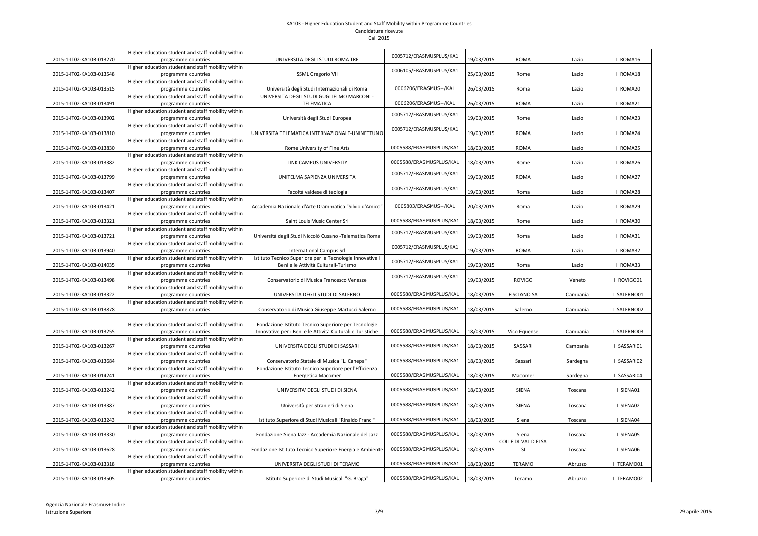|                          | Higher education student and staff mobility within                        |                                                            | 0005712/ERASMUSPLUS/KA1 |            |                     |          |               |
|--------------------------|---------------------------------------------------------------------------|------------------------------------------------------------|-------------------------|------------|---------------------|----------|---------------|
| 2015-1-IT02-KA103-013270 | programme countries                                                       | UNIVERSITA DEGLI STUDI ROMA TRE                            |                         | 19/03/2015 | <b>ROMA</b>         | Lazio    | <b>ROMA16</b> |
|                          | Higher education student and staff mobility within                        |                                                            | 0006105/ERASMUSPLUS/KA1 |            |                     |          |               |
| 2015-1-IT02-KA103-013548 | programme countries                                                       | <b>SSML Gregorio VII</b>                                   |                         | 25/03/2015 | Rome                | Lazio    | I ROMA18      |
|                          | Higher education student and staff mobility within                        |                                                            |                         |            |                     |          |               |
| 2015-1-IT02-KA103-013515 | programme countries                                                       | Università degli Studi Internazionali di Roma              | 0006206/ERASMUS+/KA1    | 26/03/2015 | Roma                | Lazio    | I ROMA20      |
|                          | Higher education student and staff mobility within                        | UNIVERSITA DEGLI STUDI GUGLIELMO MARCONI -                 |                         |            |                     |          |               |
| 2015-1-IT02-KA103-013491 | programme countries<br>Higher education student and staff mobility within | <b>TELEMATICA</b>                                          | 0006206/ERASMUS+/KA1    | 26/03/2015 | <b>ROMA</b>         | Lazio    | <b>ROMA21</b> |
| 2015-1-IT02-KA103-013902 |                                                                           | Università degli Studi Europea                             | 0005712/ERASMUSPLUS/KA1 | 19/03/2015 | Rome                | Lazio    | <b>ROMA23</b> |
|                          | programme countries<br>Higher education student and staff mobility within |                                                            |                         |            |                     |          |               |
| 2015-1-IT02-KA103-013810 | programme countries                                                       | UNIVERSITA TELEMATICA INTERNAZIONALE-UNINETTUNO            | 0005712/ERASMUSPLUS/KA1 | 19/03/2015 | <b>ROMA</b>         | Lazio    | I ROMA24      |
|                          | Higher education student and staff mobility within                        |                                                            |                         |            |                     |          |               |
| 2015-1-IT02-KA103-013830 | programme countries                                                       | Rome University of Fine Arts                               | 0005588/ERASMUSPLUS/KA1 | 18/03/2015 | <b>ROMA</b>         | Lazio    | I ROMA25      |
|                          | Higher education student and staff mobility within                        |                                                            |                         |            |                     |          |               |
| 2015-1-IT02-KA103-013382 | programme countries                                                       | LINK CAMPUS UNIVERSITY                                     | 0005588/ERASMUSPLUS/KA1 | 18/03/2015 | Rome                | Lazio    | <b>ROMA26</b> |
|                          | Higher education student and staff mobility within                        |                                                            |                         |            |                     |          |               |
| 2015-1-IT02-KA103-013799 | programme countries                                                       | UNITELMA SAPIENZA UNIVERSITA                               | 0005712/ERASMUSPLUS/KA1 | 19/03/2015 | <b>ROMA</b>         | Lazio    | ROMA27        |
|                          | Higher education student and staff mobility within                        |                                                            |                         |            |                     |          |               |
| 2015-1-IT02-KA103-013407 | programme countries                                                       | Facoltà valdese di teologia                                | 0005712/ERASMUSPLUS/KA1 | 19/03/2015 | Roma                | Lazio    | I ROMA28      |
|                          | Higher education student and staff mobility within                        |                                                            |                         |            |                     |          |               |
| 2015-1-IT02-KA103-013421 | programme countries                                                       | Accademia Nazionale d'Arte Drammatica "Silvio d'Amico"     | 0005803/ERASMUS+/KA1    | 20/03/2015 | Roma                | Lazio    | I ROMA29      |
|                          | Higher education student and staff mobility within                        |                                                            |                         |            |                     |          |               |
| 2015-1-IT02-KA103-013321 | programme countries                                                       | Saint Louis Music Center Srl                               | 0005588/ERASMUSPLUS/KA1 | 18/03/2015 | Rome                | Lazio    | I ROMA30      |
|                          | Higher education student and staff mobility within                        |                                                            | 0005712/ERASMUSPLUS/KA1 |            |                     |          |               |
| 2015-1-IT02-KA103-013721 | programme countries                                                       | Università degli Studi Niccolò Cusano - Telematica Roma    |                         | 19/03/2015 | Roma                | Lazio    | I ROMA31      |
|                          | Higher education student and staff mobility within                        |                                                            | 0005712/ERASMUSPLUS/KA1 |            |                     |          |               |
| 2015-1-IT02-KA103-013940 | programme countries                                                       | <b>International Campus Srl</b>                            |                         | 19/03/2015 | <b>ROMA</b>         | Lazio    | I ROMA32      |
|                          | Higher education student and staff mobility within                        | Istituto Tecnico Superiore per le Tecnologie Innovative i  | 0005712/ERASMUSPLUS/KA1 |            |                     |          |               |
| 2015-1-IT02-KA103-014035 | programme countries                                                       | Beni e le Attività Culturali-Turismo                       |                         | 19/03/2015 | Roma                | Lazio    | I ROMA33      |
|                          | Higher education student and staff mobility within                        |                                                            | 0005712/ERASMUSPLUS/KA1 |            |                     |          |               |
| 2015-1-IT02-KA103-013498 | programme countries                                                       | Conservatorio di Musica Francesco Venezze                  |                         | 19/03/2015 | <b>ROVIGO</b>       | Veneto   | ROVIGO01      |
|                          | Higher education student and staff mobility within                        |                                                            |                         |            |                     |          |               |
| 2015-1-IT02-KA103-013322 | programme countries                                                       | UNIVERSITA DEGLI STUDI DI SALERNO                          | 0005588/ERASMUSPLUS/KA1 | 18/03/2015 | <b>FISCIANO SA</b>  | Campania | I SALERNO01   |
| 2015-1-IT02-KA103-013878 | Higher education student and staff mobility within<br>programme countries | Conservatorio di Musica Giuseppe Martucci Salerno          | 0005588/ERASMUSPLUS/KA1 | 18/03/2015 | Salerno             | Campania | I SALERNO02   |
|                          |                                                                           |                                                            |                         |            |                     |          |               |
|                          | Higher education student and staff mobility within                        | Fondazione Istituto Tecnico Superiore per Tecnologie       |                         |            |                     |          |               |
| 2015-1-IT02-KA103-013255 | programme countries                                                       | Innovative per i Beni e le Attività Culturali e Turistiche | 0005588/ERASMUSPLUS/KA1 | 18/03/2015 | Vico Equense        | Campania | I SALERNO03   |
|                          | Higher education student and staff mobility within                        |                                                            |                         |            |                     |          |               |
| 2015-1-IT02-KA103-013267 | programme countries                                                       | UNIVERSITA DEGLI STUDI DI SASSARI                          | 0005588/ERASMUSPLUS/KA1 | 18/03/2015 | SASSARI             | Campania | SASSARI01     |
|                          | Higher education student and staff mobility within                        |                                                            |                         |            |                     |          |               |
| 2015-1-IT02-KA103-013684 | programme countries                                                       | Conservatorio Statale di Musica "L. Canepa"                | 0005588/ERASMUSPLUS/KA1 | 18/03/2015 | Sassari             | Sardegna | SASSARI02     |
|                          | Higher education student and staff mobility within                        | Fondazione Istituto Tecnico Superiore per l'Efficienza     |                         |            |                     |          |               |
| 2015-1-IT02-KA103-014241 | programme countries                                                       | Energetica Macomer                                         | 0005588/ERASMUSPLUS/KA1 | 18/03/2015 | Macomer             | Sardegna | SASSARI04     |
|                          | Higher education student and staff mobility within                        |                                                            |                         |            |                     |          |               |
| 2015-1-IT02-KA103-013242 | programme countries                                                       | UNIVERSITA' DEGLI STUDI DI SIENA                           | 0005588/ERASMUSPLUS/KA1 | 18/03/2015 | <b>SIENA</b>        | Toscana  | SIENA01       |
|                          | Higher education student and staff mobility within                        |                                                            |                         |            |                     |          |               |
| 2015-1-IT02-KA103-013387 | programme countries                                                       | Università per Stranieri di Siena                          | 0005588/ERASMUSPLUS/KA1 | 18/03/2015 | <b>SIENA</b>        | Toscana  | SIENA02       |
|                          | Higher education student and staff mobility within                        |                                                            |                         |            |                     |          |               |
| 2015-1-IT02-KA103-013243 | programme countries                                                       | Istituto Superiore di Studi Musicali "Rinaldo Franci"      | 0005588/ERASMUSPLUS/KA1 | 18/03/2015 | Siena               | Toscana  | SIENA04       |
|                          | Higher education student and staff mobility within                        |                                                            |                         |            |                     |          |               |
| 2015-1-IT02-KA103-013330 | programme countries                                                       | Fondazione Siena Jazz - Accademia Nazionale del Jazz       | 0005588/ERASMUSPLUS/KA1 | 18/03/2015 | Siena               | Toscana  | SIENA05       |
|                          | Higher education student and staff mobility within                        |                                                            |                         |            | COLLE DI VAL D ELSA |          |               |
| 2015-1-IT02-KA103-013628 | programme countries                                                       | Fondazione Istituto Tecnico Superiore Energia e Ambiente   | 0005588/ERASMUSPLUS/KA1 | 18/03/2015 | SI                  | Toscana  | SIENA06       |
| 2015-1-IT02-KA103-013318 | Higher education student and staff mobility within                        | UNIVERSITA DEGLI STUDI DI TERAMO                           | 0005588/ERASMUSPLUS/KA1 |            | <b>TERAMO</b>       |          | TERAMO01      |
|                          | programme countries<br>Higher education student and staff mobility within |                                                            |                         | 18/03/2015 |                     | Abruzzo  |               |
| 2015-1-IT02-KA103-013505 | programme countries                                                       | Istituto Superiore di Studi Musicali "G. Braga"            | 0005588/ERASMUSPLUS/KA1 | 18/03/2015 | Teramo              | Abruzzo  | I TERAMO02    |
|                          |                                                                           |                                                            |                         |            |                     |          |               |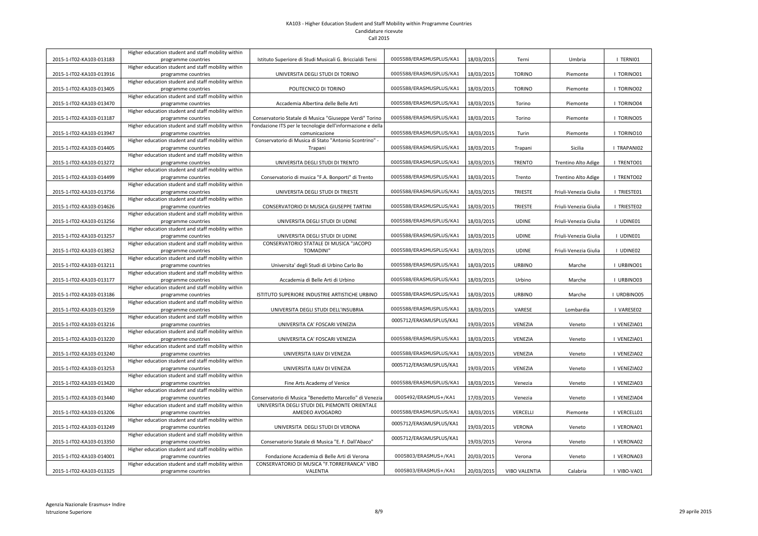|                          | Higher education student and staff mobility within                        |                                                            |                         |            |                      |                       |                  |
|--------------------------|---------------------------------------------------------------------------|------------------------------------------------------------|-------------------------|------------|----------------------|-----------------------|------------------|
| 2015-1-IT02-KA103-013183 | programme countries                                                       | Istituto Superiore di Studi Musicali G. Briccialdi Terni   | 0005588/ERASMUSPLUS/KA1 | 18/03/2015 | Terni                | Umbria                | TERNI01          |
| 2015-1-IT02-KA103-013916 | Higher education student and staff mobility within                        | UNIVERSITA DEGLI STUDI DI TORINO                           | 0005588/ERASMUSPLUS/KA1 | 18/03/2015 | <b>TORINO</b>        | Piemonte              | I TORINO01       |
|                          | programme countries<br>Higher education student and staff mobility within |                                                            |                         |            |                      |                       |                  |
| 2015-1-IT02-KA103-013405 | programme countries                                                       | POLITECNICO DI TORINO                                      | 0005588/ERASMUSPLUS/KA1 | 18/03/2015 | <b>TORINO</b>        | Piemonte              | I TORINO02       |
|                          | Higher education student and staff mobility within                        |                                                            |                         |            |                      |                       |                  |
| 2015-1-IT02-KA103-013470 | programme countries                                                       | Accademia Albertina delle Belle Arti                       | 0005588/ERASMUSPLUS/KA1 | 18/03/2015 | Torino               | Piemonte              | <b>TORINO04</b>  |
|                          | Higher education student and staff mobility within                        |                                                            |                         |            |                      |                       |                  |
| 2015-1-IT02-KA103-013187 | programme countries                                                       | Conservatorio Statale di Musica "Giuseppe Verdi" Torino    | 0005588/ERASMUSPLUS/KA1 | 18/03/2015 | Torino               | Piemonte              | <b>TORINO05</b>  |
|                          | Higher education student and staff mobility within                        | Fondazione ITS per le tecnologie dell'informazione e della |                         |            |                      |                       |                  |
| 2015-1-IT02-KA103-013947 | programme countries                                                       | comunicazione                                              | 0005588/ERASMUSPLUS/KA1 | 18/03/2015 | Turin                | Piemonte              | TORINO10         |
|                          | Higher education student and staff mobility within                        | Conservatorio di Musica di Stato "Antonio Scontrino" -     |                         |            |                      |                       |                  |
| 2015-1-IT02-KA103-014405 | programme countries                                                       | Trapani                                                    | 0005588/ERASMUSPLUS/KA1 | 18/03/2015 | Trapani              | Sicilia               | I TRAPANIO2      |
|                          | Higher education student and staff mobility within                        |                                                            |                         |            |                      |                       |                  |
| 2015-1-IT02-KA103-013272 | programme countries                                                       | UNIVERSITA DEGLI STUDI DI TRENTO                           | 0005588/ERASMUSPLUS/KA1 | 18/03/2015 | <b>TRENTO</b>        | Trentino Alto Adige   | TRENTO01         |
|                          | Higher education student and staff mobility within                        |                                                            |                         |            |                      |                       |                  |
| 2015-1-IT02-KA103-014499 | programme countries                                                       | Conservatorio di musica "F.A. Bonporti" di Trento          | 0005588/ERASMUSPLUS/KA1 | 18/03/2015 | Trento               | Trentino Alto Adige   | TRENTO02         |
|                          | Higher education student and staff mobility within                        |                                                            |                         |            |                      |                       |                  |
| 2015-1-IT02-KA103-013756 | programme countries                                                       | UNIVERSITA DEGLI STUDI DI TRIESTE                          | 0005588/ERASMUSPLUS/KA1 | 18/03/2015 | <b>TRIESTE</b>       | Friuli-Venezia Giulia | I TRIESTE01      |
| 2015-1-IT02-KA103-014626 | Higher education student and staff mobility within                        |                                                            | 0005588/ERASMUSPLUS/KA1 |            | <b>TRIESTE</b>       |                       | <b>TRIESTE02</b> |
|                          | programme countries<br>Higher education student and staff mobility within | CONSERVATORIO DI MUSICA GIUSEPPE TARTINI                   |                         | 18/03/2015 |                      | Friuli-Venezia Giulia |                  |
| 2015-1-IT02-KA103-013256 | programme countries                                                       | UNIVERSITA DEGLI STUDI DI UDINE                            | 0005588/ERASMUSPLUS/KA1 | 18/03/2015 | <b>UDINE</b>         | Friuli-Venezia Giulia | UDINE01          |
|                          | Higher education student and staff mobility within                        |                                                            |                         |            |                      |                       |                  |
| 2015-1-IT02-KA103-013257 | programme countries                                                       | UNIVERSITA DEGLI STUDI DI UDINE                            | 0005588/ERASMUSPLUS/KA1 | 18/03/2015 | <b>UDINE</b>         | Friuli-Venezia Giulia | I UDINE01        |
|                          | Higher education student and staff mobility within                        | CONSERVATORIO STATALE DI MUSICA "JACOPO                    |                         |            |                      |                       |                  |
| 2015-1-IT02-KA103-013852 | programme countries                                                       | <b>TOMADINI"</b>                                           | 0005588/ERASMUSPLUS/KA1 | 18/03/2015 | <b>UDINE</b>         | Friuli-Venezia Giulia | <b>UDINE02</b>   |
|                          | Higher education student and staff mobility within                        |                                                            |                         |            |                      |                       |                  |
| 2015-1-IT02-KA103-013211 | programme countries                                                       | Universita' degli Studi di Urbino Carlo Bo                 | 0005588/ERASMUSPLUS/KA1 | 18/03/2015 | <b>URBINO</b>        | Marche                | I URBINO01       |
|                          | Higher education student and staff mobility within                        |                                                            |                         |            |                      |                       |                  |
| 2015-1-IT02-KA103-013177 | programme countries                                                       | Accademia di Belle Arti di Urbino                          | 0005588/ERASMUSPLUS/KA1 | 18/03/2015 | Urbino               | Marche                | I URBINO03       |
|                          | Higher education student and staff mobility within                        |                                                            |                         |            |                      |                       |                  |
| 2015-1-IT02-KA103-013186 | programme countries                                                       | ISTITUTO SUPERIORE INDUSTRIE ARTISTICHE URBINO             | 0005588/ERASMUSPLUS/KA1 | 18/03/2015 | <b>URBINO</b>        | Marche                | URDBINO05        |
|                          | Higher education student and staff mobility within                        |                                                            |                         |            |                      |                       |                  |
| 2015-1-IT02-KA103-013259 | programme countries                                                       | UNIVERSITA DEGLI STUDI DELL'INSUBRIA                       | 0005588/ERASMUSPLUS/KA1 | 18/03/2015 | VARESE               | Lombardia             | VARESE02         |
|                          | Higher education student and staff mobility within                        | UNIVERSITA CA' FOSCARI VENEZIA                             | 0005712/ERASMUSPLUS/KA1 |            | VENEZIA              |                       | VENEZIA01        |
| 2015-1-IT02-KA103-013216 | programme countries<br>Higher education student and staff mobility within |                                                            |                         | 19/03/2015 |                      | Veneto                |                  |
| 2015-1-IT02-KA103-013220 | programme countries                                                       | UNIVERSITA CA' FOSCARI VENEZIA                             | 0005588/ERASMUSPLUS/KA1 | 18/03/2015 | VENEZIA              | Veneto                | VENEZIA01        |
|                          | Higher education student and staff mobility within                        |                                                            |                         |            |                      |                       |                  |
| 2015-1-IT02-KA103-013240 | programme countries                                                       | UNIVERSITA IUAV DI VENEZIA                                 | 0005588/ERASMUSPLUS/KA1 | 18/03/2015 | VENEZIA              | Veneto                | VENEZIA02        |
|                          | Higher education student and staff mobility within                        |                                                            |                         |            |                      |                       |                  |
| 2015-1-IT02-KA103-013253 | programme countries                                                       | UNIVERSITA IUAV DI VENEZIA                                 | 0005712/ERASMUSPLUS/KA1 | 19/03/2015 | VENEZIA              | Veneto                | VENEZIA02        |
|                          | Higher education student and staff mobility within                        |                                                            |                         |            |                      |                       |                  |
| 2015-1-IT02-KA103-013420 | programme countries                                                       | Fine Arts Academy of Venice                                | 0005588/ERASMUSPLUS/KA1 | 18/03/2015 | Venezia              | Veneto                | VENEZIA03        |
|                          | Higher education student and staff mobility within                        |                                                            |                         |            |                      |                       |                  |
| 2015-1-IT02-KA103-013440 | programme countries                                                       | Conservatorio di Musica "Benedetto Marcello" di Venezia    | 0005492/ERASMUS+/KA1    | 17/03/2015 | Venezia              | Veneto                | VENEZIA04        |
|                          | Higher education student and staff mobility within                        | UNIVERSITA DEGLI STUDI DEL PIEMONTE ORIENTALE              |                         |            |                      |                       |                  |
| 2015-1-IT02-KA103-013206 | programme countries                                                       | AMEDEO AVOGADRO                                            | 0005588/ERASMUSPLUS/KA1 | 18/03/2015 | <b>VERCELLI</b>      | Piemonte              | VERCELL01        |
|                          | Higher education student and staff mobility within                        |                                                            | 0005712/ERASMUSPLUS/KA1 |            |                      |                       |                  |
| 2015-1-IT02-KA103-013249 | programme countries                                                       | UNIVERSITA DEGLI STUDI DI VERONA                           |                         | 19/03/2015 | VERONA               | Veneto                | VERONA01         |
|                          | Higher education student and staff mobility within                        |                                                            | 0005712/ERASMUSPLUS/KA1 |            |                      |                       |                  |
| 2015-1-IT02-KA103-013350 | programme countries<br>Higher education student and staff mobility within | Conservatorio Statale di Musica "E. F. Dall'Abaco"         |                         | 19/03/2015 | Verona               | Veneto                | VERONA02         |
| 2015-1-IT02-KA103-014001 | programme countries                                                       | Fondazione Accademia di Belle Arti di Verona               | 0005803/ERASMUS+/KA1    | 20/03/2015 | Verona               | Veneto                | VERONA03         |
|                          | Higher education student and staff mobility within                        | CONSERVATORIO DI MUSICA "F.TORREFRANCA" VIBO               |                         |            |                      |                       |                  |
| 2015-1-IT02-KA103-013325 | programme countries                                                       | VALENTIA                                                   | 0005803/ERASMUS+/KA1    | 20/03/2015 | <b>VIBO VALENTIA</b> | Calabria              | VIBO-VA01        |
|                          |                                                                           |                                                            |                         |            |                      |                       |                  |